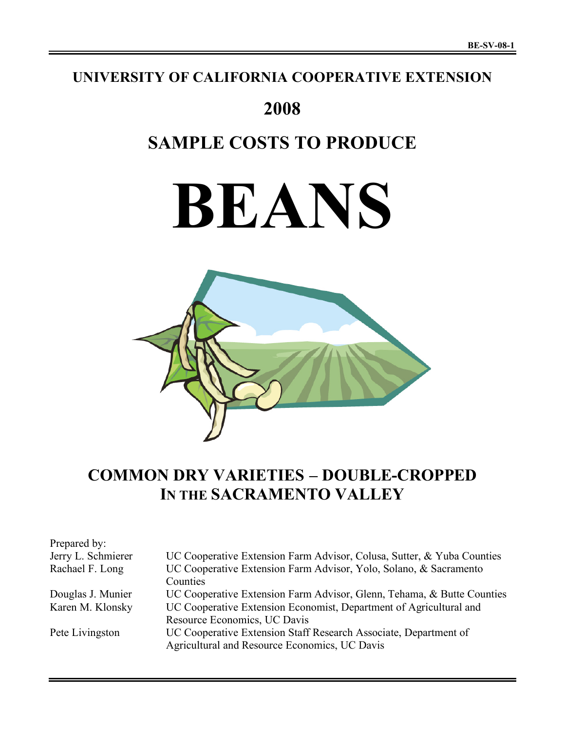## **UNIVERSITY OF CALIFORNIA COOPERATIVE EXTENSION**

## **2008**

# **SAMPLE COSTS TO PRODUCE**

# **BEANS**



## **COMMON DRY VARIETIES – DOUBLE-CROPPED IN THE SACRAMENTO VALLEY**

| Prepared by:       |                                                                        |
|--------------------|------------------------------------------------------------------------|
| Jerry L. Schmierer | UC Cooperative Extension Farm Advisor, Colusa, Sutter, & Yuba Counties |
| Rachael F. Long    | UC Cooperative Extension Farm Advisor, Yolo, Solano, & Sacramento      |
|                    | Counties                                                               |
| Douglas J. Munier  | UC Cooperative Extension Farm Advisor, Glenn, Tehama, & Butte Counties |
| Karen M. Klonsky   | UC Cooperative Extension Economist, Department of Agricultural and     |
|                    | Resource Economics, UC Davis                                           |
| Pete Livingston    | UC Cooperative Extension Staff Research Associate, Department of       |
|                    | Agricultural and Resource Economics, UC Davis                          |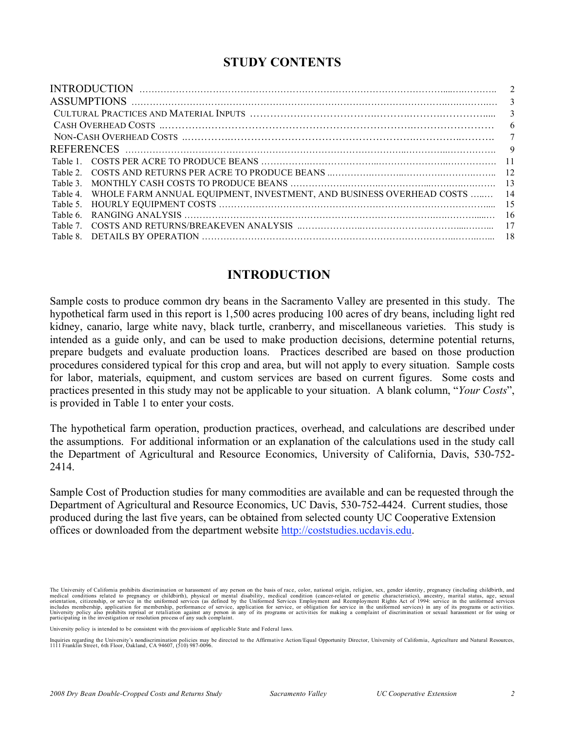## **STUDY CONTENTS**

|         |                                                                               | 2   |
|---------|-------------------------------------------------------------------------------|-----|
|         |                                                                               |     |
|         |                                                                               |     |
|         |                                                                               | 6   |
|         |                                                                               | 7   |
|         |                                                                               |     |
|         |                                                                               |     |
|         |                                                                               | -12 |
| Table 3 |                                                                               |     |
|         | Table 4. WHOLE FARM ANNUAL EQUIPMENT, INVESTMENT, AND BUSINESS OVERHEAD COSTS | 14  |
|         |                                                                               | 15  |
|         |                                                                               | -16 |
|         |                                                                               |     |
|         |                                                                               |     |
|         |                                                                               |     |

## **INTRODUCTION**

Sample costs to produce common dry beans in the Sacramento Valley are presented in this study. The hypothetical farm used in this report is 1,500 acres producing 100 acres of dry beans, including light red kidney, canario, large white navy, black turtle, cranberry, and miscellaneous varieties. This study is intended as a guide only, and can be used to make production decisions, determine potential returns, prepare budgets and evaluate production loans. Practices described are based on those production procedures considered typical for this crop and area, but will not apply to every situation. Sample costs for labor, materials, equipment, and custom services are based on current figures. Some costs and practices presented in this study may not be applicable to your situation. A blank column, "*Your Costs*", is provided in Table 1 to enter your costs.

The hypothetical farm operation, production practices, overhead, and calculations are described under the assumptions. For additional information or an explanation of the calculations used in the study call the Department of Agricultural and Resource Economics, University of California, Davis, 530-752- 2414.

Sample Cost of Production studies for many commodities are available and can be requested through the Department of Agricultural and Resource Economics, UC Davis, 530-752-4424. Current studies, those produced during the last five years, can be obtained from selected county UC Cooperative Extension offices or downloaded from the department website http://coststudies.ucdavis.edu.

The University of California prohibits discrimination or harassment of any person on the basis of race, color, national origin, religion, sex, gender identity, pregnancy (including childbirth, and medical conditions related to pregnancy or childbirth), physical or mental disability, medical condition (cancer-related or genetic characteristics), ancestry, marital status, age, sexual problems includes membership, appl

University policy is intended to be consistent with the provisions of applicable State and Federal laws.

Inquiries regarding the University's nondiscrimination policies may be directed to the Affirmative Action/Equal Opportunity Director, University of California, Agriculture and Natural Resources, 1111 Franklin Street, 6th F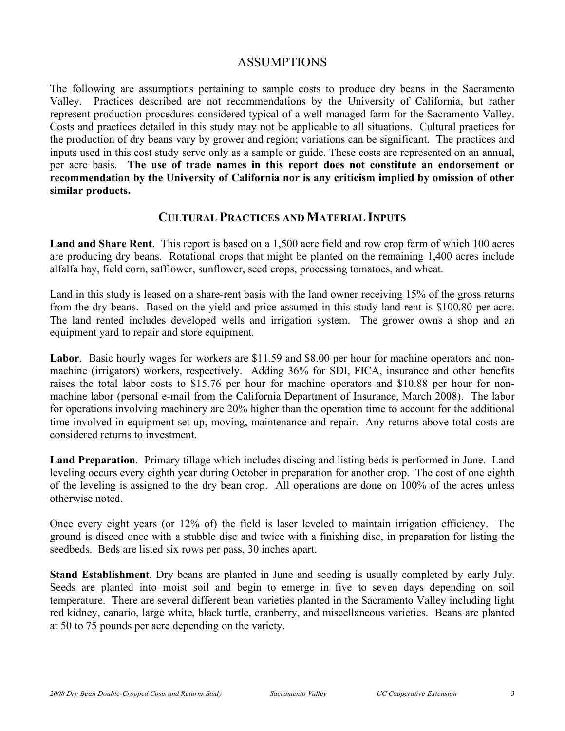## ASSUMPTIONS

The following are assumptions pertaining to sample costs to produce dry beans in the Sacramento Valley. Practices described are not recommendations by the University of California, but rather represent production procedures considered typical of a well managed farm for the Sacramento Valley. Costs and practices detailed in this study may not be applicable to all situations. Cultural practices for the production of dry beans vary by grower and region; variations can be significant. The practices and inputs used in this cost study serve only as a sample or guide. These costs are represented on an annual, per acre basis. **The use of trade names in this report does not constitute an endorsement or recommendation by the University of California nor is any criticism implied by omission of other similar products.**

## **CULTURAL PRACTICES AND MATERIAL INPUTS**

**Land and Share Rent**. This report is based on a 1,500 acre field and row crop farm of which 100 acres are producing dry beans. Rotational crops that might be planted on the remaining 1,400 acres include alfalfa hay, field corn, safflower, sunflower, seed crops, processing tomatoes, and wheat.

Land in this study is leased on a share-rent basis with the land owner receiving 15% of the gross returns from the dry beans. Based on the yield and price assumed in this study land rent is \$100.80 per acre. The land rented includes developed wells and irrigation system. The grower owns a shop and an equipment yard to repair and store equipment.

Labor. Basic hourly wages for workers are \$11.59 and \$8.00 per hour for machine operators and nonmachine (irrigators) workers, respectively. Adding 36% for SDI, FICA, insurance and other benefits raises the total labor costs to \$15.76 per hour for machine operators and \$10.88 per hour for nonmachine labor (personal e-mail from the California Department of Insurance, March 2008). The labor for operations involving machinery are 20% higher than the operation time to account for the additional time involved in equipment set up, moving, maintenance and repair. Any returns above total costs are considered returns to investment.

**Land Preparation**. Primary tillage which includes discing and listing beds is performed in June. Land leveling occurs every eighth year during October in preparation for another crop. The cost of one eighth of the leveling is assigned to the dry bean crop. All operations are done on 100% of the acres unless otherwise noted.

Once every eight years (or 12% of) the field is laser leveled to maintain irrigation efficiency. The ground is disced once with a stubble disc and twice with a finishing disc, in preparation for listing the seedbeds. Beds are listed six rows per pass, 30 inches apart.

**Stand Establishment**. Dry beans are planted in June and seeding is usually completed by early July. Seeds are planted into moist soil and begin to emerge in five to seven days depending on soil temperature. There are several different bean varieties planted in the Sacramento Valley including light red kidney, canario, large white, black turtle, cranberry, and miscellaneous varieties. Beans are planted at 50 to 75 pounds per acre depending on the variety.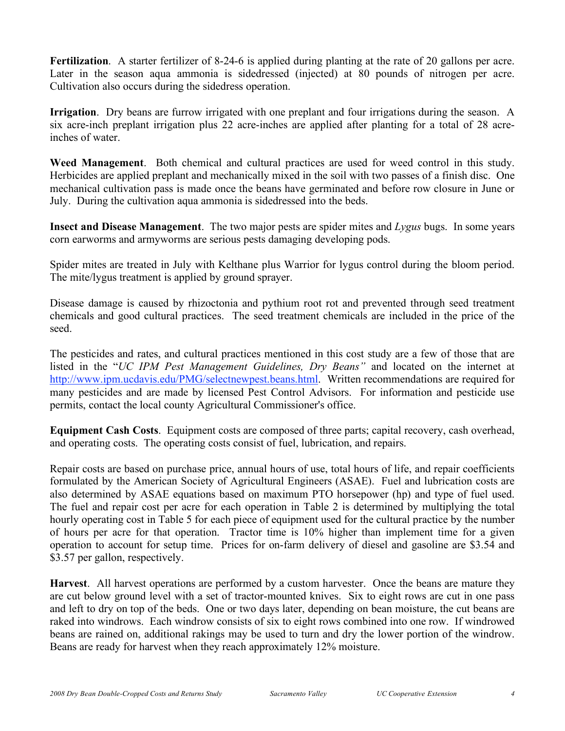**Fertilization**. A starter fertilizer of 8-24-6 is applied during planting at the rate of 20 gallons per acre. Later in the season aqua ammonia is sidedressed (injected) at 80 pounds of nitrogen per acre. Cultivation also occurs during the sidedress operation.

**Irrigation**. Dry beans are furrow irrigated with one preplant and four irrigations during the season. A six acre-inch preplant irrigation plus 22 acre-inches are applied after planting for a total of 28 acreinches of water.

**Weed Management**. Both chemical and cultural practices are used for weed control in this study. Herbicides are applied preplant and mechanically mixed in the soil with two passes of a finish disc. One mechanical cultivation pass is made once the beans have germinated and before row closure in June or July. During the cultivation aqua ammonia is sidedressed into the beds.

**Insect and Disease Management**. The two major pests are spider mites and *Lygus* bugs. In some years corn earworms and armyworms are serious pests damaging developing pods.

Spider mites are treated in July with Kelthane plus Warrior for lygus control during the bloom period. The mite/lygus treatment is applied by ground sprayer.

Disease damage is caused by rhizoctonia and pythium root rot and prevented through seed treatment chemicals and good cultural practices. The seed treatment chemicals are included in the price of the seed.

The pesticides and rates, and cultural practices mentioned in this cost study are a few of those that are listed in the "*UC IPM Pest Management Guidelines, Dry Beans"* and located on the internet at http://www.ipm.ucdavis.edu/PMG/selectnewpest.beans.html. Written recommendations are required for many pesticides and are made by licensed Pest Control Advisors. For information and pesticide use permits, contact the local county Agricultural Commissioner's office.

**Equipment Cash Costs**. Equipment costs are composed of three parts; capital recovery, cash overhead, and operating costs. The operating costs consist of fuel, lubrication, and repairs.

Repair costs are based on purchase price, annual hours of use, total hours of life, and repair coefficients formulated by the American Society of Agricultural Engineers (ASAE). Fuel and lubrication costs are also determined by ASAE equations based on maximum PTO horsepower (hp) and type of fuel used. The fuel and repair cost per acre for each operation in Table 2 is determined by multiplying the total hourly operating cost in Table 5 for each piece of equipment used for the cultural practice by the number of hours per acre for that operation. Tractor time is 10% higher than implement time for a given operation to account for setup time. Prices for on-farm delivery of diesel and gasoline are \$3.54 and \$3.57 per gallon, respectively.

**Harvest**. All harvest operations are performed by a custom harvester. Once the beans are mature they are cut below ground level with a set of tractor-mounted knives. Six to eight rows are cut in one pass and left to dry on top of the beds. One or two days later, depending on bean moisture, the cut beans are raked into windrows. Each windrow consists of six to eight rows combined into one row. If windrowed beans are rained on, additional rakings may be used to turn and dry the lower portion of the windrow. Beans are ready for harvest when they reach approximately 12% moisture.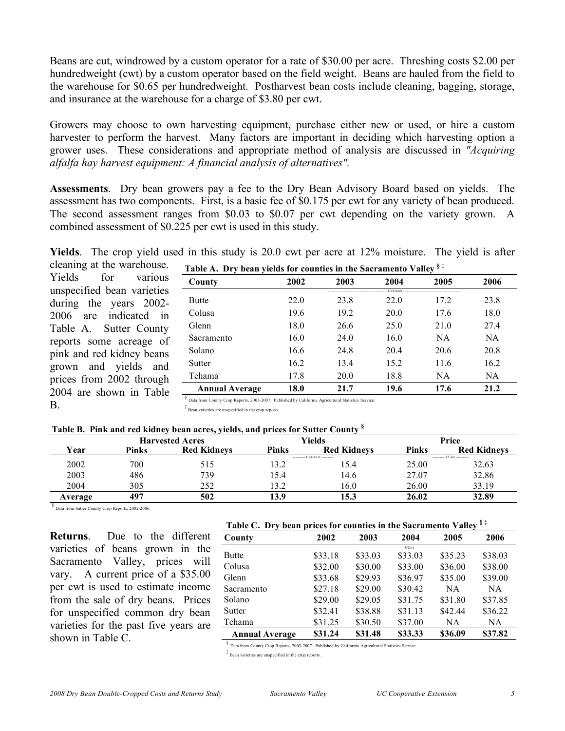Beans are cut, windrowed by a custom operator for a rate of \$30.00 per acre. Threshing costs \$2.00 per hundredweight (cwt) by a custom operator based on the field weight. Beans are hauled from the field to the warehouse for \$0.65 per hundredweight. Postharvest bean costs include cleaning, bagging, storage, and insurance at the warehouse for a charge of \$3.80 per cwt.

Growers may choose to own harvesting equipment, purchase either new or used, or hire a custom harvester to perform the harvest. Many factors are important in deciding which harvesting option a grower uses. These considerations and appropriate method of analysis are discussed in *"Acquiring alfalfa hay harvest equipment: A financial analysis of alternatives".*

**Assessments**. Dry bean growers pay a fee to the Dry Bean Advisory Board based on yields. The assessment has two components. First, is a basic fee of \$0.175 per cwt for any variety of bean produced. The second assessment ranges from \$0.03 to \$0.07 per cwt depending on the variety grown. A combined assessment of \$0.225 per cwt is used in this study.

**Yields**. The crop yield used in this study is 20.0 cwt per acre at 12% moisture. The yield is after

cleaning at the warehouse. Yields for various unspecified bean varieties during the years 2002- 2006 are indicated in Table A. Sutter County reports some acreage of pink and red kidney beans grown and yields and prices from 2002 through 2004 are shown in Table B.

| Table A. Dry bean yields for counties in the Sacramento Valley $§$ <sup><math>\ddag</math></sup> |      |      |      |           |      |  |  |  |  |  |
|--------------------------------------------------------------------------------------------------|------|------|------|-----------|------|--|--|--|--|--|
| County                                                                                           | 2002 | 2003 | 2004 | 2005      | 2006 |  |  |  |  |  |
| <b>Butte</b>                                                                                     | 22.0 | 23.8 | 22 Q | 17.2      | 23.8 |  |  |  |  |  |
| Colusa                                                                                           | 19.6 | 19.2 | 20.0 | 17.6      | 18.0 |  |  |  |  |  |
| Glenn                                                                                            | 18.0 | 26.6 | 25.0 | 21.0      | 27.4 |  |  |  |  |  |
| Sacramento                                                                                       | 16.0 | 24.0 | 16.0 | <b>NA</b> | NA.  |  |  |  |  |  |
| Solano                                                                                           | 16.6 | 24.8 | 20.4 | 20.6      | 20.8 |  |  |  |  |  |
| Sutter                                                                                           | 16.2 | 13.4 | 15.2 | 11.6      | 16.2 |  |  |  |  |  |
| Tehama                                                                                           | 17.8 | 20.0 | 18.8 | NA        | NA.  |  |  |  |  |  |
| <b>Annual Average</b><br><b>COLLEGE</b>                                                          | 18.0 | 21.7 | 19.6 | 17.6      | 21.2 |  |  |  |  |  |

§ Data from County Crop Reports, 2003-2007. Published by California Agricultural Statistics Service.  $\stackrel{\dagger}{\ast}$  Bean varieties are unspecified in the crop reports.

## **Table B. Pink and red kidney bean acres, yields, and prices for Sutter County §**

|         |       | <b>Harvested Acres</b> |                  | Yields                       |              | Price                    |
|---------|-------|------------------------|------------------|------------------------------|--------------|--------------------------|
| Year    | Pinks | <b>Red Kidnevs</b>     | <b>Pinks</b>     | <b>Red Kidneys</b>           | <b>Pinks</b> | <b>Red Kidneys</b>       |
|         |       |                        |                  | --------- Cwt/Acre --------- |              | -------- S/Cwt --------- |
| 2002    | 700   | 515                    | $\overline{3.2}$ | .5.4                         | 25.00        | 32.63                    |
| 2003    | 486   | 739                    | l 5.4            | 14.6                         | 27.07        | 32.86                    |
| 2004    | 305   | 252                    | l 3.2            | 16.0                         | 26.00        | 33.19                    |
| Average | 497   | 502                    | 13.9             | 15.3                         | 26.02        | 32.89                    |

§ Data from Sutter County Crop Reports, 2002-2006.

**Returns**. Due to the different varieties of beans grown in the Sacramento Valley, prices will vary. A current price of a \$35.00 per cwt is used to estimate income from the sale of dry beans. Prices for unspecified common dry bean varieties for the past five years are shown in Table C.

|  |  |  |  |  | Table C. Dry bean prices for counties in the Sacramento Valley <sup>§‡</sup> |  |
|--|--|--|--|--|------------------------------------------------------------------------------|--|
|--|--|--|--|--|------------------------------------------------------------------------------|--|

| County                | 2002    | 2003    | 2004    | 2005    | 2006      |
|-----------------------|---------|---------|---------|---------|-----------|
|                       |         |         |         |         |           |
| <b>Butte</b>          | \$33.18 | \$33.03 | \$33.03 | \$35.23 | \$38.03   |
| Colusa                | \$32.00 | \$30.00 | \$33.00 | \$36.00 | \$38.00   |
| Glenn                 | \$33.68 | \$29.93 | \$36.97 | \$35.00 | \$39.00   |
| Sacramento            | \$27.18 | \$29.00 | \$30.42 | NA      | <b>NA</b> |
| Solano                | \$29.00 | \$29.05 | \$31.75 | \$31.80 | \$37.85   |
| Sutter                | \$32.41 | \$38.88 | \$31.13 | \$42.44 | \$36.22   |
| Tehama                | \$31.25 | \$30.50 | \$37.00 | NA.     | NA        |
| <b>Annual Average</b> | \$31.24 | \$31.48 | \$33.33 | \$36.09 | \$37.82   |

§ Data from County Crop Reports, 2003-2007. Published by California Agricultural Statistics Service

‡ Bean varieties are unspecified in the crop reports.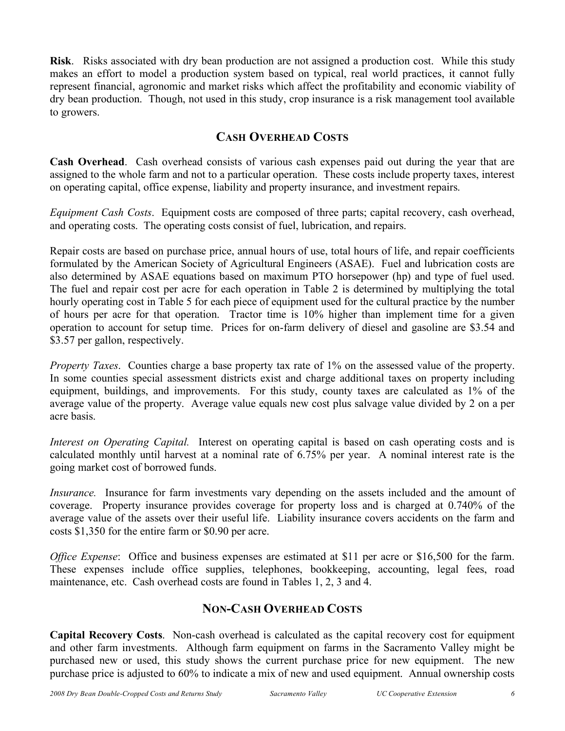**Risk**. Risks associated with dry bean production are not assigned a production cost. While this study makes an effort to model a production system based on typical, real world practices, it cannot fully represent financial, agronomic and market risks which affect the profitability and economic viability of dry bean production. Though, not used in this study, crop insurance is a risk management tool available to growers.

## **CASH OVERHEAD COSTS**

**Cash Overhead**. Cash overhead consists of various cash expenses paid out during the year that are assigned to the whole farm and not to a particular operation. These costs include property taxes, interest on operating capital, office expense, liability and property insurance, and investment repairs.

*Equipment Cash Costs*. Equipment costs are composed of three parts; capital recovery, cash overhead, and operating costs. The operating costs consist of fuel, lubrication, and repairs.

Repair costs are based on purchase price, annual hours of use, total hours of life, and repair coefficients formulated by the American Society of Agricultural Engineers (ASAE). Fuel and lubrication costs are also determined by ASAE equations based on maximum PTO horsepower (hp) and type of fuel used. The fuel and repair cost per acre for each operation in Table 2 is determined by multiplying the total hourly operating cost in Table 5 for each piece of equipment used for the cultural practice by the number of hours per acre for that operation. Tractor time is 10% higher than implement time for a given operation to account for setup time. Prices for on-farm delivery of diesel and gasoline are \$3.54 and \$3.57 per gallon, respectively.

*Property Taxes*. Counties charge a base property tax rate of 1% on the assessed value of the property. In some counties special assessment districts exist and charge additional taxes on property including equipment, buildings, and improvements. For this study, county taxes are calculated as 1% of the average value of the property. Average value equals new cost plus salvage value divided by 2 on a per acre basis.

*Interest on Operating Capital.* Interest on operating capital is based on cash operating costs and is calculated monthly until harvest at a nominal rate of 6.75% per year. A nominal interest rate is the going market cost of borrowed funds.

*Insurance.* Insurance for farm investments vary depending on the assets included and the amount of coverage. Property insurance provides coverage for property loss and is charged at 0.740% of the average value of the assets over their useful life. Liability insurance covers accidents on the farm and costs \$1,350 for the entire farm or \$0.90 per acre.

*Office Expense*: Office and business expenses are estimated at \$11 per acre or \$16,500 for the farm. These expenses include office supplies, telephones, bookkeeping, accounting, legal fees, road maintenance, etc. Cash overhead costs are found in Tables 1, 2, 3 and 4.

## **NON-CASH OVERHEAD COSTS**

**Capital Recovery Costs**. Non-cash overhead is calculated as the capital recovery cost for equipment and other farm investments. Although farm equipment on farms in the Sacramento Valley might be purchased new or used, this study shows the current purchase price for new equipment. The new purchase price is adjusted to 60% to indicate a mix of new and used equipment. Annual ownership costs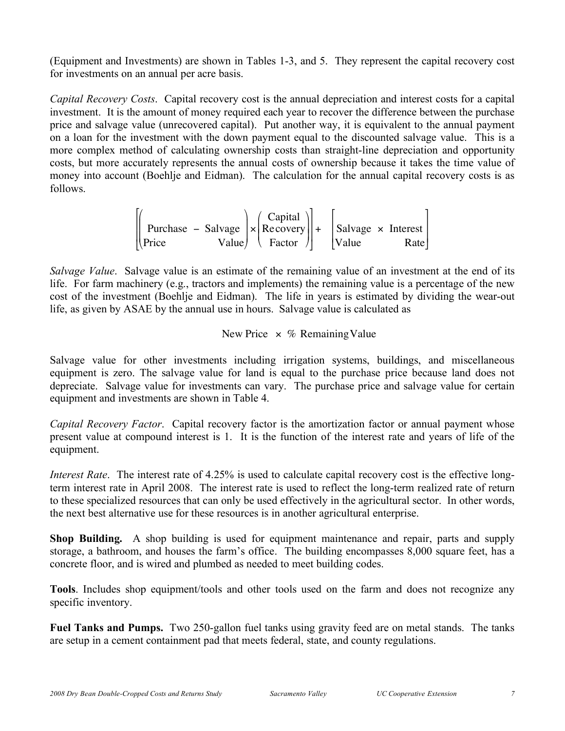(Equipment and Investments) are shown in Tables 1-3, and 5. They represent the capital recovery cost for investments on an annual per acre basis.

*Capital Recovery Costs*. Capital recovery cost is the annual depreciation and interest costs for a capital investment. It is the amount of money required each year to recover the difference between the purchase price and salvage value (unrecovered capital). Put another way, it is equivalent to the annual payment on a loan for the investment with the down payment equal to the discounted salvage value. This is a more complex method of calculating ownership costs than straight-line depreciation and opportunity costs, but more accurately represents the annual costs of ownership because it takes the time value of money into account (Boehlje and Eidman). The calculation for the annual capital recovery costs is as follows.

$$
\begin{bmatrix} \begin{bmatrix} \begin{bmatrix} 1 & 0 \\ 0 & 1 \end{bmatrix} \\ \begin{bmatrix} 2 & 0 \\ 0 & 1 \end{bmatrix} \end{bmatrix} & \begin{bmatrix} 2 & 0 \\ 0 & 1 \end{bmatrix} \end{bmatrix} \end{bmatrix} \times \begin{bmatrix} \begin{bmatrix} 2 & 0 \\ 0 & 1 \end{bmatrix} \\ \begin{bmatrix} 3 & 0 \\ 0 & 1 \end{bmatrix} \end{bmatrix} \end{bmatrix} + \begin{bmatrix} \begin{bmatrix} 3 & 0 \\ 0 & 1 \end{bmatrix} \end{bmatrix} \times \begin{bmatrix} 1 & 0 \\ 0 & 1 \end{bmatrix} \times \begin{bmatrix} 1 & 0 \\ 0 & 1 \end{bmatrix} \times \begin{bmatrix} 1 & 0 \\ 0 & 1 \end{bmatrix} \times \begin{bmatrix} 1 & 0 \\ 0 & 1 \end{bmatrix} \end{bmatrix}
$$

cost of the investment (Boehlje and Eidman). The life in years is estimated by dividing the wear-out *Salvage Value*. Salvage value is an estimate of the remaining value of an investment at the end of its life. For farm machinery (e.g., tractors and implements) the remaining value is a percentage of the new life, as given by ASAE by the annual use in hours. Salvage value is calculated as

## New Price  $\times$  % Remaining Value

depreciate. Salvage value for investments can vary. The purchase price and salvage value for certain Salvage value for other investments including irrigation systems, buildings, and miscellaneous equipment is zero. The salvage value for land is equal to the purchase price because land does not equipment and investments are shown in Table 4.

*Capital Recovery Factor*. Capital recovery factor is the amortization factor or annual payment whose present value at compound interest is 1. It is the function of the interest rate and years of life of the equipment.

*Interest Rate*. The interest rate of 4.25% is used to calculate capital recovery cost is the effective longterm interest rate in April 2008. The interest rate is used to reflect the long-term realized rate of return to these specialized resources that can only be used effectively in the agricultural sector. In other words, the next best alternative use for these resources is in another agricultural enterprise.

**Shop Building.** A shop building is used for equipment maintenance and repair, parts and supply storage, a bathroom, and houses the farm's office. The building encompasses 8,000 square feet, has a concrete floor, and is wired and plumbed as needed to meet building codes.

**Tools**. Includes shop equipment/tools and other tools used on the farm and does not recognize any specific inventory.

**Fuel Tanks and Pumps.** Two 250-gallon fuel tanks using gravity feed are on metal stands. The tanks are setup in a cement containment pad that meets federal, state, and county regulations.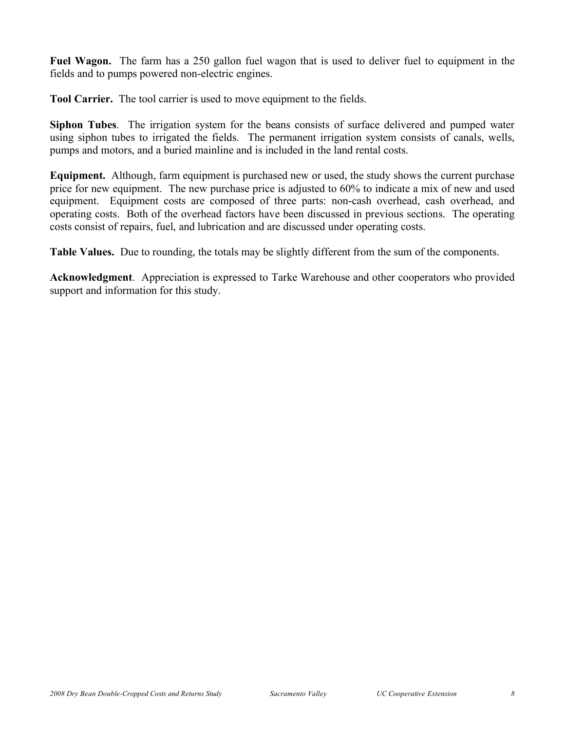**Fuel Wagon.** The farm has a 250 gallon fuel wagon that is used to deliver fuel to equipment in the fields and to pumps powered non-electric engines.

**Tool Carrier.** The tool carrier is used to move equipment to the fields.

**Siphon Tubes**. The irrigation system for the beans consists of surface delivered and pumped water using siphon tubes to irrigated the fields. The permanent irrigation system consists of canals, wells, pumps and motors, and a buried mainline and is included in the land rental costs.

**Equipment.** Although, farm equipment is purchased new or used, the study shows the current purchase price for new equipment. The new purchase price is adjusted to 60% to indicate a mix of new and used equipment. Equipment costs are composed of three parts: non-cash overhead, cash overhead, and operating costs. Both of the overhead factors have been discussed in previous sections. The operating costs consist of repairs, fuel, and lubrication and are discussed under operating costs.

**Table Values.** Due to rounding, the totals may be slightly different from the sum of the components.

**Acknowledgment**. Appreciation is expressed to Tarke Warehouse and other cooperators who provided support and information for this study.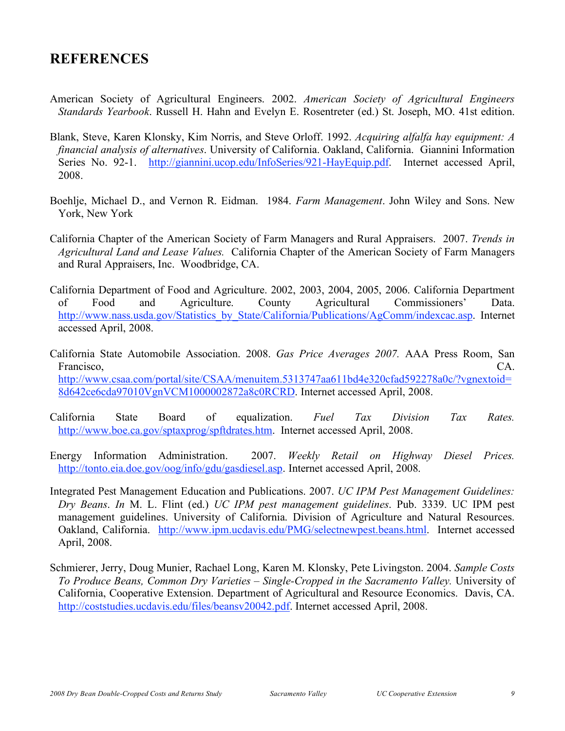## **REFERENCES**

- American Society of Agricultural Engineers. 2002. *American Society of Agricultural Engineers Standards Yearbook*. Russell H. Hahn and Evelyn E. Rosentreter (ed.) St. Joseph, MO. 41st edition.
- Blank, Steve, Karen Klonsky, Kim Norris, and Steve Orloff. 1992. *Acquiring alfalfa hay equipment: A financial analysis of alternatives*. University of California. Oakland, California. Giannini Information Series No. 92-1. http://giannini.ucop.edu/InfoSeries/921-HayEquip.pdf. Internet accessed April, 2008.
- Boehlje, Michael D., and Vernon R. Eidman. 1984. *Farm Management*. John Wiley and Sons. New York, New York
- California Chapter of the American Society of Farm Managers and Rural Appraisers. 2007. *Trends in Agricultural Land and Lease Values.* California Chapter of the American Society of Farm Managers and Rural Appraisers, Inc. Woodbridge, CA.
- California Department of Food and Agriculture. 2002, 2003, 2004, 2005, 2006. California Department of Food and Agriculture. County Agricultural Commissioners' Data. http://www.nass.usda.gov/Statistics\_by\_State/California/Publications/AgComm/indexcac.asp. Internet accessed April, 2008.
- California State Automobile Association. 2008. *Gas Price Averages 2007.* AAA Press Room, San Francisco, CA. http://www.csaa.com/portal/site/CSAA/menuitem.5313747aa611bd4e320cfad592278a0c/?vgnextoid= 8d642ce6cda97010VgnVCM1000002872a8c0RCRD. Internet accessed April, 2008.
- California State Board of equalization. *Fuel Tax Division Tax Rates.* http://www.boe.ca.gov/sptaxprog/spftdrates.htm. Internet accessed April, 2008.
- Energy Information Administration. 2007. *Weekly Retail on Highway Diesel Prices.* http://tonto.eia.doe.gov/oog/info/gdu/gasdiesel.asp. Internet accessed April, 2008.
- Integrated Pest Management Education and Publications. 2007. *UC IPM Pest Management Guidelines: Dry Beans*. *In* M. L. Flint (ed.) *UC IPM pest management guidelines*. Pub. 3339. UC IPM pest management guidelines. University of California. Division of Agriculture and Natural Resources. Oakland, California. http://www.ipm.ucdavis.edu/PMG/selectnewpest.beans.html. Internet accessed April, 2008.
- Schmierer, Jerry, Doug Munier, Rachael Long, Karen M. Klonsky, Pete Livingston. 2004. *Sample Costs To Produce Beans, Common Dry Varieties – Single-Cropped in the Sacramento Valley.* University of California, Cooperative Extension. Department of Agricultural and Resource Economics. Davis, CA. http://coststudies.ucdavis.edu/files/beansv20042.pdf. Internet accessed April, 2008.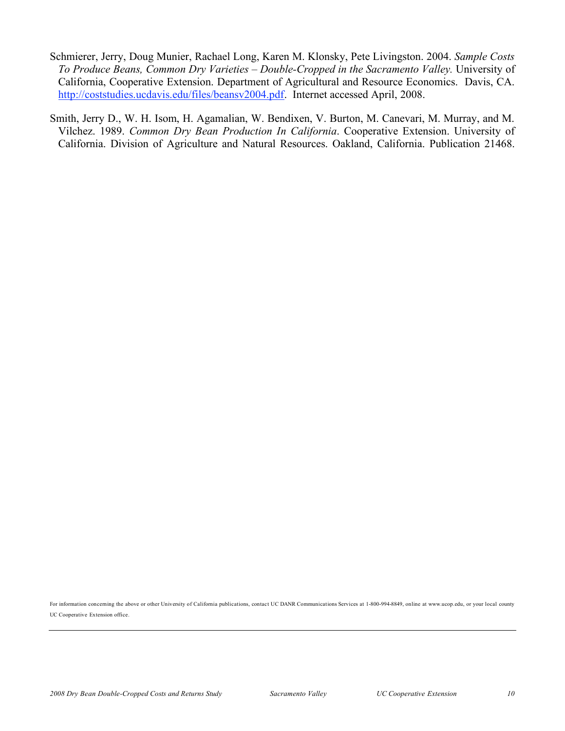- Schmierer, Jerry, Doug Munier, Rachael Long, Karen M. Klonsky, Pete Livingston. 2004. *Sample Costs To Produce Beans, Common Dry Varieties – Double-Cropped in the Sacramento Valley.* University of California, Cooperative Extension. Department of Agricultural and Resource Economics. Davis, CA. http://coststudies.ucdavis.edu/files/beansv2004.pdf. Internet accessed April, 2008.
- Smith, Jerry D., W. H. Isom, H. Agamalian, W. Bendixen, V. Burton, M. Canevari, M. Murray, and M. Vilchez. 1989. *Common Dry Bean Production In California*. Cooperative Extension. University of California. Division of Agriculture and Natural Resources. Oakland, California. Publication 21468.

For information concerning the above or other University of California publications, contact UC DANR Communications Services at 1-800-994-8849, online at www.ucop.edu, or your local county UC Cooperative Extension office.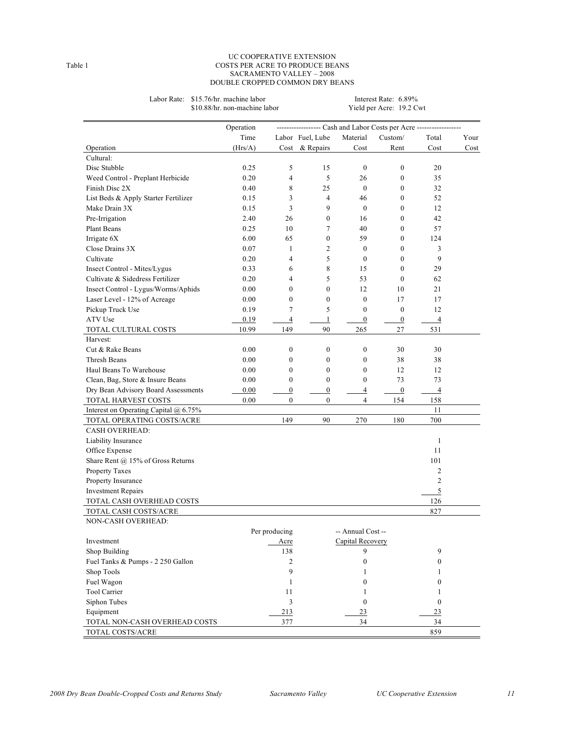#### UC COOPERATIVE EXTENSION Table 1 COSTS PER ACRE TO PRODUCE BEANS SACRAMENTO VALLEY – 2008 DOUBLE CROPPED COMMON DRY BEANS

|                                       | \$10.88/hr. non-machine labor |                  |                  |                   | Yield per Acre: 19.2 Cwt                                         |                  |      |
|---------------------------------------|-------------------------------|------------------|------------------|-------------------|------------------------------------------------------------------|------------------|------|
|                                       | Operation                     |                  |                  |                   | --------------- Cash and Labor Costs per Acre ------------------ |                  |      |
|                                       | Time                          |                  | Labor Fuel, Lube | Material          | Custom/                                                          | Total            | Your |
| Operation                             | (Hrs/A)                       |                  | Cost & Repairs   | Cost              | Rent                                                             | Cost             | Cost |
| Cultural:                             |                               |                  |                  |                   |                                                                  |                  |      |
| Disc Stubble                          | 0.25                          | 5                | 15               | $\mathbf{0}$      | $\boldsymbol{0}$                                                 | 20               |      |
| Weed Control - Preplant Herbicide     | 0.20                          | $\overline{4}$   | 5                | 26                | $\mathbf{0}$                                                     | 35               |      |
| Finish Disc 2X                        | 0.40                          | 8                | 25               | $\mathbf{0}$      | $\mathbf{0}$                                                     | 32               |      |
| List Beds & Apply Starter Fertilizer  | 0.15                          | 3                | 4                | 46                | $\mathbf{0}$                                                     | 52               |      |
| Make Drain 3X                         | 0.15                          | 3                | 9                | $\mathbf{0}$      | $\mathbf{0}$                                                     | 12               |      |
| Pre-Irrigation                        | 2.40                          | 26               | $\boldsymbol{0}$ | 16                | $\mathbf{0}$                                                     | 42               |      |
| Plant Beans                           | 0.25                          | 10               | 7                | 40                | $\mathbf{0}$                                                     | 57               |      |
| Irrigate 6X                           | 6.00                          | 65               | $\overline{0}$   | 59                | $\mathbf{0}$                                                     | 124              |      |
| Close Drains 3X                       | 0.07                          | $\mathbf{1}$     | 2                | $\boldsymbol{0}$  | $\mathbf{0}$                                                     | 3                |      |
| Cultivate                             | 0.20                          | $\overline{4}$   | 5                | $\boldsymbol{0}$  | $\mathbf{0}$                                                     | 9                |      |
| Insect Control - Mites/Lygus          | 0.33                          | 6                | 8                | 15                | $\mathbf{0}$                                                     | 29               |      |
| Cultivate & Sidedress Fertilizer      | 0.20                          | $\overline{4}$   | 5                | 53                | $\mathbf{0}$                                                     | 62               |      |
| Insect Control - Lygus/Worms/Aphids   | 0.00                          | $\mathbf{0}$     | $\overline{0}$   | 12                | 10                                                               | 21               |      |
| Laser Level - 12% of Acreage          | 0.00                          | $\mathbf{0}$     | 0                | $\mathbf{0}$      | 17                                                               | 17               |      |
| Pickup Truck Use                      | 0.19                          | 7                | 5                | $\mathbf{0}$      | $\mathbf{0}$                                                     | 12               |      |
| ATV Use                               | 0.19                          | $\overline{4}$   | $\mathbf{1}$     | $\boldsymbol{0}$  | $\boldsymbol{0}$                                                 | $\overline{4}$   |      |
| TOTAL CULTURAL COSTS                  | 10.99                         | 149              | 90               | 265               | 27                                                               | 531              |      |
| Harvest:                              |                               |                  |                  |                   |                                                                  |                  |      |
| Cut & Rake Beans                      | 0.00                          | $\boldsymbol{0}$ | $\boldsymbol{0}$ | $\boldsymbol{0}$  | 30                                                               | 30               |      |
| Thresh Beans                          | 0.00                          | $\boldsymbol{0}$ | $\boldsymbol{0}$ | $\boldsymbol{0}$  | 38                                                               | 38               |      |
| Haul Beans To Warehouse               | 0.00                          | $\mathbf{0}$     | 0                | $\boldsymbol{0}$  | 12                                                               | 12               |      |
| Clean, Bag, Store & Insure Beans      | 0.00                          | $\mathbf{0}$     | $\overline{0}$   | $\mathbf{0}$      | 73                                                               | 73               |      |
| Dry Bean Advisory Board Assessments   | 0.00                          | $\boldsymbol{0}$ | $\overline{0}$   | 4                 | $\boldsymbol{0}$                                                 | $\overline{4}$   |      |
| TOTAL HARVEST COSTS                   | 0.00                          | $\overline{0}$   | $\overline{0}$   | $\overline{4}$    | 154                                                              | 158              |      |
| Interest on Operating Capital @ 6.75% |                               |                  |                  |                   |                                                                  | 11               |      |
| TOTAL OPERATING COSTS/ACRE            |                               | 149              | 90               | 270               | 180                                                              | 700              |      |
| <b>CASH OVERHEAD:</b>                 |                               |                  |                  |                   |                                                                  |                  |      |
| Liability Insurance                   |                               |                  |                  |                   |                                                                  | $\mathbf{1}$     |      |
| Office Expense                        |                               |                  |                  |                   |                                                                  | 11               |      |
| Share Rent @ 15% of Gross Returns     |                               |                  |                  |                   |                                                                  | 101              |      |
| Property Taxes                        |                               |                  |                  |                   |                                                                  | 2                |      |
| Property Insurance                    |                               |                  |                  |                   |                                                                  | $\overline{c}$   |      |
| <b>Investment Repairs</b>             |                               |                  |                  |                   |                                                                  | 5                |      |
| TOTAL CASH OVERHEAD COSTS             |                               |                  |                  |                   |                                                                  | 126              |      |
| TOTAL CASH COSTS/ACRE                 |                               |                  |                  |                   |                                                                  | 827              |      |
| NON-CASH OVERHEAD:                    |                               |                  |                  |                   |                                                                  |                  |      |
|                                       |                               | Per producing    |                  | -- Annual Cost -- |                                                                  |                  |      |
| Investment                            |                               | Acre             |                  | Capital Recovery  |                                                                  |                  |      |
| Shop Building                         |                               | 138              |                  | 9                 |                                                                  | 9                |      |
| Fuel Tanks & Pumps - 2 250 Gallon     |                               | $\overline{c}$   |                  | $\boldsymbol{0}$  |                                                                  | $\boldsymbol{0}$ |      |
| Shop Tools                            |                               | 9                |                  | 1                 |                                                                  | 1                |      |
| Fuel Wagon                            |                               | 1                |                  | $\mathbf{0}$      |                                                                  | $\overline{0}$   |      |
| Tool Carrier                          |                               | 11               |                  | 1                 |                                                                  | 1                |      |
| Siphon Tubes                          |                               | $\overline{3}$   |                  | $\boldsymbol{0}$  |                                                                  | $\boldsymbol{0}$ |      |
| Equipment                             |                               | 213              |                  | 23                |                                                                  | 23               |      |
| TOTAL NON-CASH OVERHEAD COSTS         |                               | 377              |                  | 34                |                                                                  | 34               |      |
| TOTAL COSTS/ACRE                      |                               |                  |                  |                   |                                                                  | 859              |      |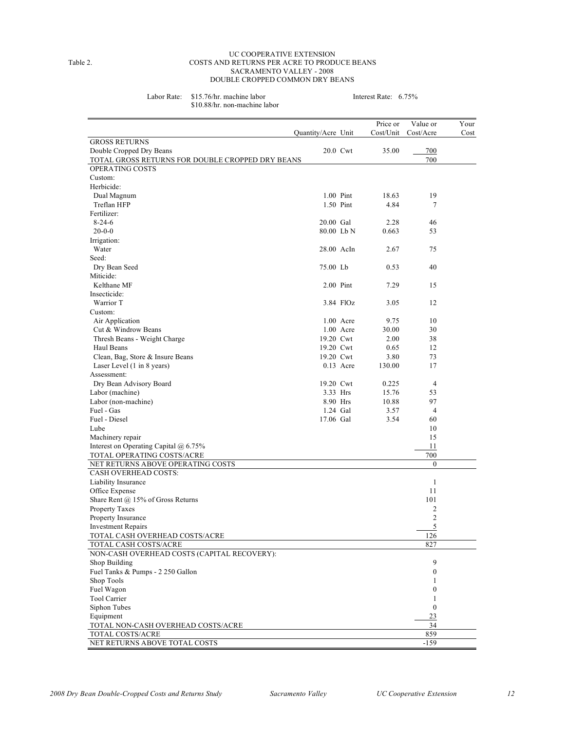#### UC COOPERATIVE EXTENSION Table 2. COSTS AND RETURNS PER ACRE TO PRODUCE BEANS SACRAMENTO VALLEY - 2008 DOUBLE CROPPED COMMON DRY BEANS

Labor Rate: \$15.76/hr. machine labor Interest Rate: 6.75% \$10.88/hr. non-machine labor

|                                                                            |                    |             | Price or  | Value or         | Your |
|----------------------------------------------------------------------------|--------------------|-------------|-----------|------------------|------|
|                                                                            | Quantity/Acre Unit |             | Cost/Unit | Cost/Acre        | Cost |
| <b>GROSS RETURNS</b>                                                       |                    |             |           |                  |      |
| Double Cropped Dry Beans                                                   |                    | 20.0 Cwt    | 35.00     | 700<br>700       |      |
| TOTAL GROSS RETURNS FOR DOUBLE CROPPED DRY BEANS<br><b>OPERATING COSTS</b> |                    |             |           |                  |      |
| Custom:                                                                    |                    |             |           |                  |      |
| Herbicide:                                                                 |                    |             |           |                  |      |
| Dual Magnum                                                                |                    | 1.00 Pint   | 18.63     | 19               |      |
| Treflan HFP                                                                |                    | 1.50 Pint   | 4.84      | 7                |      |
| Fertilizer:                                                                |                    |             |           |                  |      |
| $8 - 24 - 6$                                                               | 20.00 Gal          |             | 2.28      | 46               |      |
| $20 - 0 - 0$                                                               | 80.00 Lb N         |             | 0.663     | 53               |      |
| Irrigation:                                                                |                    |             |           |                  |      |
| Water                                                                      | 28.00 AcIn         |             | 2.67      | 75               |      |
| Seed:                                                                      |                    |             |           |                  |      |
| Dry Bean Seed                                                              | 75.00 Lb           |             | 0.53      | 40               |      |
| Miticide:                                                                  |                    |             |           |                  |      |
| Kelthane MF                                                                |                    | 2.00 Pint   | 7.29      | 15               |      |
| Insecticide:                                                               |                    |             |           |                  |      |
| Warrior T                                                                  |                    | 3.84 FlOz   | 3.05      | 12               |      |
|                                                                            |                    |             |           |                  |      |
| Custom:                                                                    |                    | $1.00$ Acre | 9.75      | 10               |      |
| Air Application                                                            |                    | 1.00 Acre   | 30.00     | 30               |      |
| Cut & Windrow Beans                                                        |                    |             |           |                  |      |
| Thresh Beans - Weight Charge                                               | 19.20 Cwt          |             | 2.00      | 38               |      |
| Haul Beans                                                                 | 19.20 Cwt          |             | 0.65      | 12               |      |
| Clean, Bag, Store & Insure Beans                                           | 19.20 Cwt          |             | 3.80      | 73               |      |
| Laser Level (1 in 8 years)                                                 |                    | $0.13$ Acre | 130.00    | 17               |      |
| Assessment:                                                                |                    |             |           |                  |      |
| Dry Bean Advisory Board                                                    | 19.20 Cwt          |             | 0.225     | $\overline{4}$   |      |
| Labor (machine)                                                            |                    | 3.33 Hrs    | 15.76     | 53               |      |
| Labor (non-machine)                                                        |                    | 8.90 Hrs    | 10.88     | 97               |      |
| Fuel - Gas                                                                 |                    | 1.24 Gal    | 3.57      | 4                |      |
| Fuel - Diesel                                                              | 17.06 Gal          |             | 3.54      | 60               |      |
| Lube                                                                       |                    |             |           | 10               |      |
| Machinery repair                                                           |                    |             |           | 15               |      |
| Interest on Operating Capital $(a)$ 6.75%                                  |                    |             |           | 11               |      |
| TOTAL OPERATING COSTS/ACRE                                                 |                    |             |           | 700              |      |
| NET RETURNS ABOVE OPERATING COSTS                                          |                    |             |           | $\boldsymbol{0}$ |      |
| <b>CASH OVERHEAD COSTS:</b>                                                |                    |             |           |                  |      |
| Liability Insurance                                                        |                    |             |           | $\mathbf{1}$     |      |
| Office Expense                                                             |                    |             |           | 11               |      |
| Share Rent @ 15% of Gross Returns                                          |                    |             |           | 101              |      |
| Property Taxes                                                             |                    |             |           | 2                |      |
| Property Insurance                                                         |                    |             |           | $\overline{2}$   |      |
| <b>Investment Repairs</b>                                                  |                    |             |           | 5                |      |
| TOTAL CASH OVERHEAD COSTS/ACRE                                             |                    |             |           | 126              |      |
| TOTAL CASH COSTS/ACRE                                                      |                    |             |           | 827              |      |
| NON-CASH OVERHEAD COSTS (CAPITAL RECOVERY):                                |                    |             |           |                  |      |
| Shop Building                                                              |                    |             |           | 9                |      |
| Fuel Tanks & Pumps - 2 250 Gallon                                          |                    |             |           | $\boldsymbol{0}$ |      |
| Shop Tools                                                                 |                    |             |           | 1                |      |
| Fuel Wagon                                                                 |                    |             |           | $\boldsymbol{0}$ |      |
| Tool Carrier                                                               |                    |             |           | 1                |      |
| Siphon Tubes                                                               |                    |             |           | $\boldsymbol{0}$ |      |
| Equipment                                                                  |                    |             |           | 23               |      |
| TOTAL NON-CASH OVERHEAD COSTS/ACRE                                         |                    |             |           | 34               |      |
| TOTAL COSTS/ACRE                                                           |                    |             |           | 859              |      |
| NET RETURNS ABOVE TOTAL COSTS                                              |                    |             |           | $-159$           |      |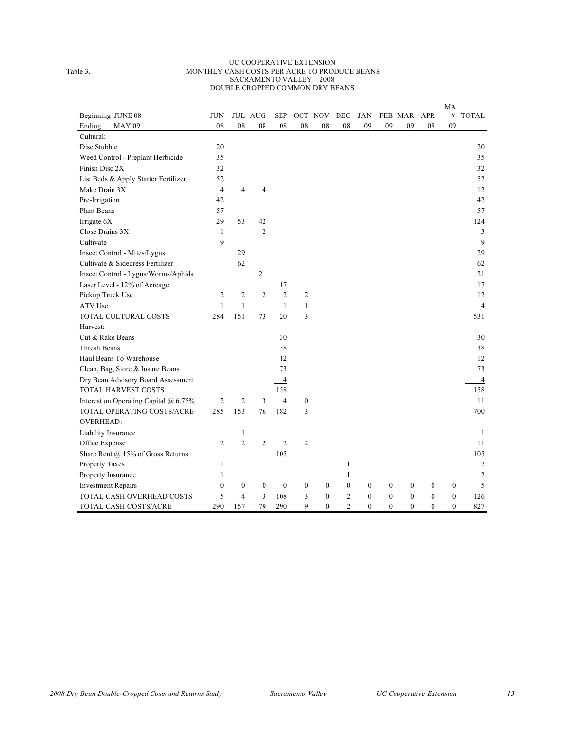#### UC COOPERATIVE EXTENSION Table 3. MONTHLY CASH COSTS PER ACRE TO PRODUCE BEANS SACRAMENTO VALLEY – 2008 DOUBLE CROPPED COMMON DRY BEANS

|                                       |                  |                |                |                  |                  |                  |                  |                  |                  |                  |                  | MA               |                |
|---------------------------------------|------------------|----------------|----------------|------------------|------------------|------------------|------------------|------------------|------------------|------------------|------------------|------------------|----------------|
| Beginning JUNE 08                     | <b>JUN</b>       |                | <b>JUL AUG</b> | <b>SEP</b>       |                  | OCT NOV          | DEC              | JAN              |                  | FEB MAR APR      |                  |                  | Y TOTAL        |
| <b>MAY 09</b><br>Ending               | ${\bf 08}$       | 08             | 08             | 08               | 08               | 08               | 08               | 09               | 09               | 09               | 09               | 09               |                |
| Cultural:                             |                  |                |                |                  |                  |                  |                  |                  |                  |                  |                  |                  |                |
| Disc Stubble                          | 20               |                |                |                  |                  |                  |                  |                  |                  |                  |                  |                  | 20             |
| Weed Control - Preplant Herbicide     | 35               |                |                |                  |                  |                  |                  |                  |                  |                  |                  |                  | 35             |
| Finish Disc 2X                        | 32               |                |                |                  |                  |                  |                  |                  |                  |                  |                  |                  | 32             |
| List Beds & Apply Starter Fertilizer  | 52               |                |                |                  |                  |                  |                  |                  |                  |                  |                  |                  | 52             |
| Make Drain 3X                         | $\overline{4}$   | $\overline{4}$ | $\overline{4}$ |                  |                  |                  |                  |                  |                  |                  |                  |                  | 12             |
| Pre-Irrigation                        | 42               |                |                |                  |                  |                  |                  |                  |                  |                  |                  |                  | 42             |
| <b>Plant Beans</b>                    | 57               |                |                |                  |                  |                  |                  |                  |                  |                  |                  |                  | 57             |
| Irrigate 6X                           | 29               | 53             | 42             |                  |                  |                  |                  |                  |                  |                  |                  |                  | 124            |
| Close Drains 3X                       | $\mathbf{1}$     |                | $\overline{2}$ |                  |                  |                  |                  |                  |                  |                  |                  |                  | 3              |
| Cultivate                             | 9                |                |                |                  |                  |                  |                  |                  |                  |                  |                  |                  | 9              |
| Insect Control - Mites/Lygus          |                  | 29             |                |                  |                  |                  |                  |                  |                  |                  |                  |                  | 29             |
| Cultivate & Sidedress Fertilizer      |                  | 62             |                |                  |                  |                  |                  |                  |                  |                  |                  |                  | 62             |
| Insect Control - Lygus/Worms/Aphids   |                  |                | 21             |                  |                  |                  |                  |                  |                  |                  |                  |                  | 21             |
| Laser Level - 12% of Acreage          |                  |                |                | 17               |                  |                  |                  |                  |                  |                  |                  |                  | 17             |
| Pickup Truck Use                      | $\overline{c}$   | $\overline{c}$ | $\overline{c}$ | $\overline{2}$   | $\overline{c}$   |                  |                  |                  |                  |                  |                  |                  | 12             |
| ATV Use                               | $\mathbf{1}$     | $\mathbf{1}$   | $\mathbf{1}$   | $\mathbf{1}$     | $\mathbf{1}$     |                  |                  |                  |                  |                  |                  |                  | $\overline{4}$ |
| TOTAL CULTURAL COSTS                  | 284              | 151            | 73             | 20               | 3                |                  |                  |                  |                  |                  |                  |                  | 531            |
| Harvest:                              |                  |                |                |                  |                  |                  |                  |                  |                  |                  |                  |                  |                |
| Cut & Rake Beans                      |                  |                |                | 30               |                  |                  |                  |                  |                  |                  |                  |                  | 30             |
| <b>Thresh Beans</b>                   |                  |                |                | 38               |                  |                  |                  |                  |                  |                  |                  |                  | 38             |
| Haul Beans To Warehouse               |                  |                |                | 12               |                  |                  |                  |                  |                  |                  |                  |                  | 12             |
| Clean, Bag, Store & Insure Beans      |                  |                |                | 73               |                  |                  |                  |                  |                  |                  |                  |                  | 73             |
| Dry Bean Advisory Board Assessment    |                  |                |                | $\overline{4}$   |                  |                  |                  |                  |                  |                  |                  |                  | $\overline{4}$ |
| TOTAL HARVEST COSTS                   |                  |                |                | 158              |                  |                  |                  |                  |                  |                  |                  |                  | 158            |
| Interest on Operating Capital @ 6.75% | $\boldsymbol{2}$ | $\sqrt{2}$     | 3              | $\overline{4}$   | $\boldsymbol{0}$ |                  |                  |                  |                  |                  |                  |                  | $11\,$         |
| TOTAL OPERATING COSTS/ACRE            | 285              | 153            | 76             | 182              | 3                |                  |                  |                  |                  |                  |                  |                  | 700            |
| <b>OVERHEAD:</b>                      |                  |                |                |                  |                  |                  |                  |                  |                  |                  |                  |                  |                |
| Liability Insurance                   |                  | $\mathbf{1}$   |                |                  |                  |                  |                  |                  |                  |                  |                  |                  | $\mathbf{1}$   |
| Office Expense                        | $\mathfrak{2}$   | $\overline{c}$ | $\overline{c}$ | $\mathfrak{2}$   | $\overline{2}$   |                  |                  |                  |                  |                  |                  |                  | 11             |
| Share Rent @ 15% of Gross Returns     |                  |                |                | 105              |                  |                  |                  |                  |                  |                  |                  |                  | 105            |
| Property Taxes                        | $\mathbf{1}$     |                |                |                  |                  |                  | 1                |                  |                  |                  |                  |                  | $\overline{c}$ |
| Property Insurance                    | $\mathbf{1}$     |                |                |                  |                  |                  | 1                |                  |                  |                  |                  |                  | $\overline{2}$ |
| <b>Investment Repairs</b>             | $\overline{0}$   | $\overline{0}$ | $\overline{0}$ | $\boldsymbol{0}$ | $\boldsymbol{0}$ | $\boldsymbol{0}$ | $\boldsymbol{0}$ | 0                | $\boldsymbol{0}$ | $\boldsymbol{0}$ | $\boldsymbol{0}$ | $\boldsymbol{0}$ | 5              |
| TOTAL CASH OVERHEAD COSTS             | 5                | $\overline{4}$ | 3              | 108              | 3                | $\mathbf{0}$     | $\overline{c}$   | $\boldsymbol{0}$ | $\mathbf{0}$     | $\boldsymbol{0}$ | $\boldsymbol{0}$ | $\boldsymbol{0}$ | 126            |
| TOTAL CASH COSTS/ACRE                 | 290              | 157            | 79             | 290              | 9                | $\boldsymbol{0}$ | $\overline{2}$   | $\overline{0}$   | $\mathbf{0}$     | $\boldsymbol{0}$ | $\boldsymbol{0}$ | $\boldsymbol{0}$ | 827            |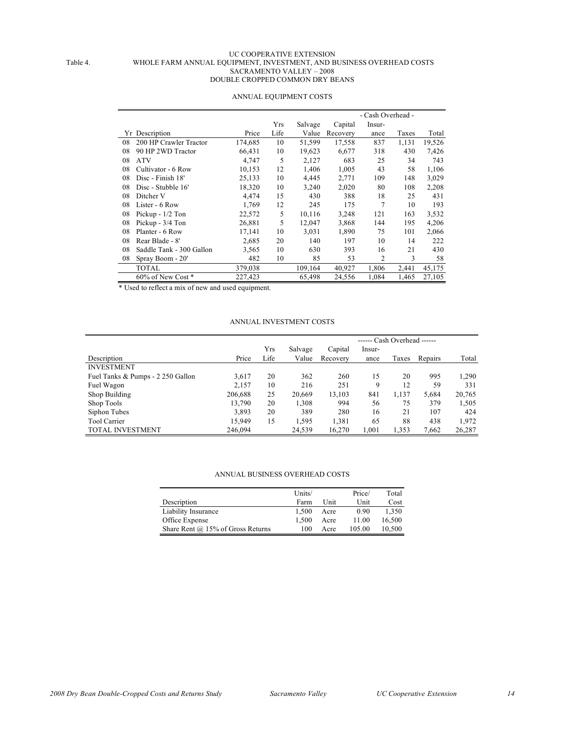#### UC COOPERATIVE EXTENSION Table 4. WHOLE FARM ANNUAL EQUIPMENT, INVESTMENT, AND BUSINESS OVERHEAD COSTS SACRAMENTO VALLEY – 2008 DOUBLE CROPPED COMMON DRY BEANS

|    |                          |         |      |         |          | - Cash Overhead - |       |        |
|----|--------------------------|---------|------|---------|----------|-------------------|-------|--------|
|    |                          |         | Yrs  | Salvage | Capital  | Insur-            |       |        |
|    | Yr Description           | Price   | Life | Value   | Recovery | ance              | Taxes | Total  |
| 08 | 200 HP Crawler Tractor   | 174,685 | 10   | 51,599  | 17,558   | 837               | 1,131 | 19,526 |
| 08 | 90 HP 2WD Tractor        | 66,431  | 10   | 19,623  | 6,677    | 318               | 430   | 7,426  |
| 08 | <b>ATV</b>               | 4,747   | 5    | 2,127   | 683      | 25                | 34    | 743    |
| 08 | Cultivator - 6 Row       | 10,153  | 12   | 1,406   | 1,005    | 43                | 58    | 1,106  |
| 08 | Disc - Finish 18'        | 25,133  | 10   | 4,445   | 2,771    | 109               | 148   | 3,029  |
| 08 | Disc - Stubble 16'       | 18,320  | 10   | 3,240   | 2,020    | 80                | 108   | 2,208  |
| 08 | Ditcher V                | 4,474   | 15   | 430     | 388      | 18                | 25    | 431    |
| 08 | Lister - 6 Row           | 1,769   | 12   | 245     | 175      | 7                 | 10    | 193    |
| 08 | Pickup $-1/2$ Ton        | 22,572  | 5    | 10,116  | 3,248    | 121               | 163   | 3,532  |
| 08 | Pickup - 3/4 Ton         | 26,881  | 5    | 12,047  | 3,868    | 144               | 195   | 4,206  |
| 08 | Planter - 6 Row          | 17,141  | 10   | 3,031   | 1,890    | 75                | 101   | 2,066  |
| 08 | Rear Blade - 8'          | 2,685   | 20   | 140     | 197      | 10                | 14    | 222    |
| 08 | Saddle Tank - 300 Gallon | 3,565   | 10   | 630     | 393      | 16                | 21    | 430    |
| 08 | Spray Boom - 20'         | 482     | 10   | 85      | 53       | 2                 | 3     | 58     |
|    | <b>TOTAL</b>             | 379,038 |      | 109,164 | 40,927   | 1,806             | 2,441 | 45,175 |
|    | $60\%$ of New Cost $*$   | 227,423 |      | 65,498  | 24,556   | 1,084             | 1,465 | 27,105 |

#### ANNUAL EQUIPMENT COSTS

\* Used to reflect a mix of new and used equipment.

#### ANNUAL INVESTMENT COSTS

|                                   |         |      |         |          | ------ Cash Overhead ------ |       |         |        |
|-----------------------------------|---------|------|---------|----------|-----------------------------|-------|---------|--------|
|                                   |         | Yrs  | Salvage | Capital  | Insur-                      |       |         |        |
| Description                       | Price   | Life | Value   | Recovery | ance                        | Taxes | Repairs | Total  |
| <b>INVESTMENT</b>                 |         |      |         |          |                             |       |         |        |
| Fuel Tanks & Pumps - 2 250 Gallon | 3,617   | 20   | 362     | 260      | 15                          | 20    | 995     | 1,290  |
| Fuel Wagon                        | 2,157   | 10   | 216     | 251      | 9                           | 12    | 59      | 331    |
| Shop Building                     | 206,688 | 25   | 20,669  | 13,103   | 841                         | 1,137 | 5,684   | 20,765 |
| Shop Tools                        | 13.790  | 20   | 1,308   | 994      | 56                          | 75    | 379     | 1,505  |
| Siphon Tubes                      | 3,893   | 20   | 389     | 280      | 16                          | 21    | 107     | 424    |
| <b>Tool Carrier</b>               | 15,949  | 15   | 1,595   | 1,381    | 65                          | 88    | 438     | 1,972  |
| <b>TOTAL INVESTMENT</b>           | 246,094 |      | 24,539  | 16,270   | 1,001                       | 1,353 | 7,662   | 26,287 |

#### ANNUAL BUSINESS OVERHEAD COSTS

|                                          | Units/ |      | Price/ | Total  |
|------------------------------------------|--------|------|--------|--------|
| Description                              | Farm   | Unit | Unit   | Cost   |
| Liability Insurance                      | 1.500  | Acre | 0.90   | 1.350  |
| Office Expense                           | 1.500  | Acre | 11.00  | 16,500 |
| Share Rent $\omega$ 15% of Gross Returns | 100    | Acre | 105.00 | 10.500 |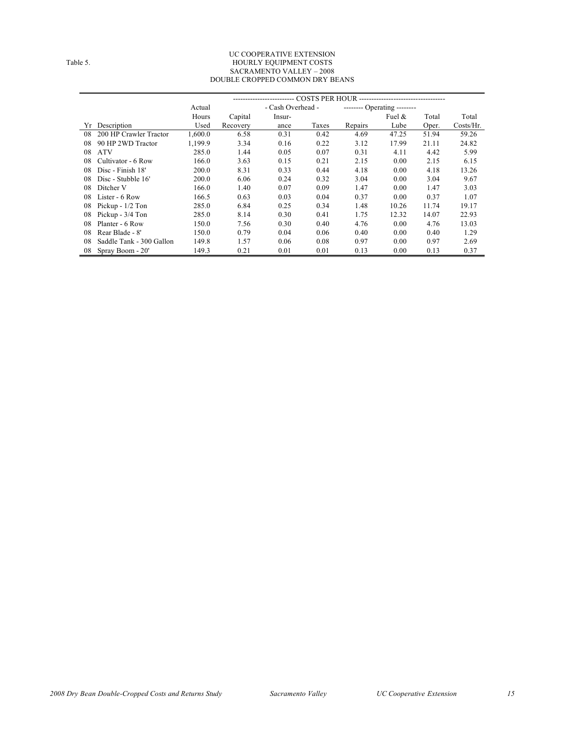#### UC COOPERATIVE EXTENSION Table 5. The state of the state of the HOURLY EQUIPMENT COSTS SACRAMENTO VALLEY – 2008 DOUBLE CROPPED COMMON DRY BEANS

|    |                          | - COSTS PER HOUR ----------------------------------- |          |                   |       |                             |           |       |           |
|----|--------------------------|------------------------------------------------------|----------|-------------------|-------|-----------------------------|-----------|-------|-----------|
|    |                          | Actual                                               |          | - Cash Overhead - |       | -------- Operating -------- |           |       |           |
|    |                          | Hours                                                | Capital  | Insur-            |       |                             | Fuel $\&$ | Total | Total     |
| Yr | Description              | Used                                                 | Recovery | ance              | Taxes | Repairs                     | Lube      | Oper. | Costs/Hr. |
| 08 | 200 HP Crawler Tractor   | 1,600.0                                              | 6.58     | 0.31              | 0.42  | 4.69                        | 47.25     | 51.94 | 59.26     |
| 08 | 90 HP 2WD Tractor        | 1,199.9                                              | 3.34     | 0.16              | 0.22  | 3.12                        | 17.99     | 21.11 | 24.82     |
| 08 | <b>ATV</b>               | 285.0                                                | 1.44     | 0.05              | 0.07  | 0.31                        | 4.11      | 4.42  | 5.99      |
| 08 | Cultivator - 6 Row       | 166.0                                                | 3.63     | 0.15              | 0.21  | 2.15                        | 0.00      | 2.15  | 6.15      |
| 08 | Disc - Finish 18'        | 200.0                                                | 8.31     | 0.33              | 0.44  | 4.18                        | 0.00      | 4.18  | 13.26     |
| 08 | Disc - Stubble 16'       | 200.0                                                | 6.06     | 0.24              | 0.32  | 3.04                        | 0.00      | 3.04  | 9.67      |
| 08 | Ditcher V                | 166.0                                                | 1.40     | 0.07              | 0.09  | 1.47                        | 0.00      | 1.47  | 3.03      |
| 08 | Lister - 6 Row           | 166.5                                                | 0.63     | 0.03              | 0.04  | 0.37                        | 0.00      | 0.37  | 1.07      |
| 08 | Pickup - $1/2$ Ton       | 285.0                                                | 6.84     | 0.25              | 0.34  | 1.48                        | 10.26     | 11.74 | 19.17     |
| 08 | Pickup - 3/4 Ton         | 285.0                                                | 8.14     | 0.30              | 0.41  | 1.75                        | 12.32     | 14.07 | 22.93     |
| 08 | Planter - 6 Row          | 150.0                                                | 7.56     | 0.30              | 0.40  | 4.76                        | 0.00      | 4.76  | 13.03     |
| 08 | Rear Blade - 8'          | 150.0                                                | 0.79     | 0.04              | 0.06  | 0.40                        | 0.00      | 0.40  | 1.29      |
| 08 | Saddle Tank - 300 Gallon | 149.8                                                | 1.57     | 0.06              | 0.08  | 0.97                        | 0.00      | 0.97  | 2.69      |
| 08 | Spray Boom - 20'         | 149.3                                                | 0.21     | 0.01              | 0.01  | 0.13                        | 0.00      | 0.13  | 0.37      |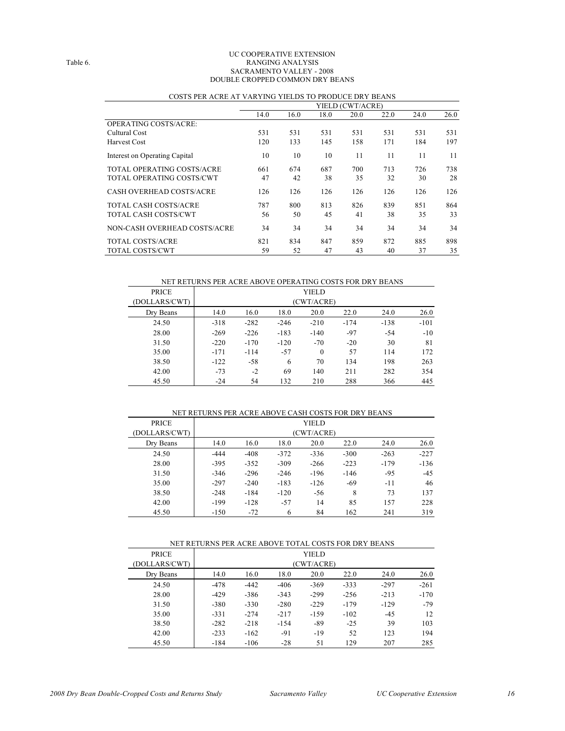#### UC COOPERATIVE EXTENSION Table 6. RANGING ANALYSIS SACRAMENTO VALLEY - 2008 DOUBLE CROPPED COMMON DRY BEANS

|                               | YIELD (CWT/ACRE) |      |      |      |      |      |      |
|-------------------------------|------------------|------|------|------|------|------|------|
|                               | 14.0             | 16.0 | 18.0 | 20.0 | 22.0 | 24.0 | 26.0 |
| <b>OPERATING COSTS/ACRE:</b>  |                  |      |      |      |      |      |      |
| Cultural Cost                 | 531              | 531  | 531  | 531  | 531  | 531  | 531  |
| <b>Harvest Cost</b>           | 120              | 133  | 145  | 158  | 171  | 184  | 197  |
| Interest on Operating Capital | 10               | 10   | 10   | 11   | 11   | 11   | 11   |
| TOTAL OPERATING COSTS/ACRE    | 661              | 674  | 687  | 700  | 713  | 726  | 738  |
| TOTAL OPERATING COSTS/CWT     | 47               | 42   | 38   | 35   | 32   | 30   | 28   |
| CASH OVERHEAD COSTS/ACRE      | 126              | 126  | 126  | 126  | 126  | 126  | 126  |
| <b>TOTAL CASH COSTS/ACRE</b>  | 787              | 800  | 813  | 826  | 839  | 851  | 864  |
| <b>TOTAL CASH COSTS/CWT</b>   | 56               | 50   | 45   | 41   | 38   | 35   | 33   |
| NON-CASH OVERHEAD COSTS/ACRE  | 34               | 34   | 34   | 34   | 34   | 34   | 34   |
| <b>TOTAL COSTS/ACRE</b>       | 821              | 834  | 847  | 859  | 872  | 885  | 898  |
| <b>TOTAL COSTS/CWT</b>        | 59               | 52   | 47   | 43   | 40   | 37   | 35   |

## COSTS PER ACRE AT VARYING YIELDS TO PRODUCE DRY BEANS

NET RETURNS PER ACRE ABOVE OPERATING COSTS FOR DRY BEANS

| <b>PRICE</b>  | YIELD  |            |        |              |        |        |        |  |  |
|---------------|--------|------------|--------|--------------|--------|--------|--------|--|--|
| (DOLLARS/CWT) |        | (CWT/ACRE) |        |              |        |        |        |  |  |
| Dry Beans     | 14.0   | 16.0       | 18.0   | 20.0         | 22.0   | 24.0   | 26.0   |  |  |
| 24.50         | $-318$ | $-282$     | $-246$ | $-210$       | $-174$ | $-138$ | $-101$ |  |  |
| 28.00         | $-269$ | $-226$     | $-183$ | $-140$       | $-97$  | $-54$  | $-10$  |  |  |
| 31.50         | $-220$ | $-170$     | $-120$ | $-70$        | $-20$  | 30     | 81     |  |  |
| 35.00         | $-171$ | $-114$     | $-57$  | $\mathbf{0}$ | 57     | 114    | 172    |  |  |
| 38.50         | $-122$ | $-58$      | 6      | 70           | 134    | 198    | 263    |  |  |
| 42.00         | $-73$  | $-2$       | 69     | 140          | 211    | 282    | 354    |  |  |
| 45.50         | $-24$  | 54         | 132    | 210          | 288    | 366    | 445    |  |  |

#### NET RETURNS PER ACRE ABOVE CASH COSTS FOR DRY BEANS PRICE YIELD (DOLLARS/CWT) (CWT/ACRE) Dry Beans 14.0 16.0 18.0 20.0 22.0 24.0 26.0 24.50 -444 -408 -372 -336 -300 -263 -227 28.00 -395 -352 -309 -266 -223 -179 -136 31.50 -346 -296 -246 -196 -146 -95 -45 35.00 -297 -240 -183 -126 -69 -11 46 38.50 -248 -184 -120 -56 8 73 137 42.00 -199 -128 -57 14 85 157 228 45.50 -150 -72 6 84 162 241 319

| NET RETURNS PER ACRE ABOVE TOTAL COSTS FOR DRY BEANS |        |        |        |              |        |        |        |  |  |  |
|------------------------------------------------------|--------|--------|--------|--------------|--------|--------|--------|--|--|--|
| <b>PRICE</b>                                         |        |        |        | <b>YIELD</b> |        |        |        |  |  |  |
| (DOLLARS/CWT)                                        |        |        |        | (CWT/ACRE)   |        |        |        |  |  |  |
| Dry Beans                                            | 14.0   | 16.0   | 18.0   | 20.0         | 22.0   | 24.0   | 26.0   |  |  |  |
| 24.50                                                | $-478$ | $-442$ | $-406$ | $-369$       | $-333$ | $-297$ | $-261$ |  |  |  |
| 28.00                                                | $-429$ | $-386$ | $-343$ | $-299$       | $-256$ | $-213$ | $-170$ |  |  |  |
| 31.50                                                | $-380$ | $-330$ | $-280$ | $-229$       | $-179$ | $-129$ | $-79$  |  |  |  |
| 35.00                                                | $-331$ | $-274$ | $-217$ | $-159$       | $-102$ | $-45$  | 12     |  |  |  |
| 38.50                                                | $-282$ | $-218$ | $-154$ | $-89$        | $-25$  | 39     | 103    |  |  |  |
| 42.00                                                | $-233$ | $-162$ | $-91$  | $-19$        | 52     | 123    | 194    |  |  |  |
| 45.50                                                | $-184$ | $-106$ | $-28$  | 51           | 129    | 207    | 285    |  |  |  |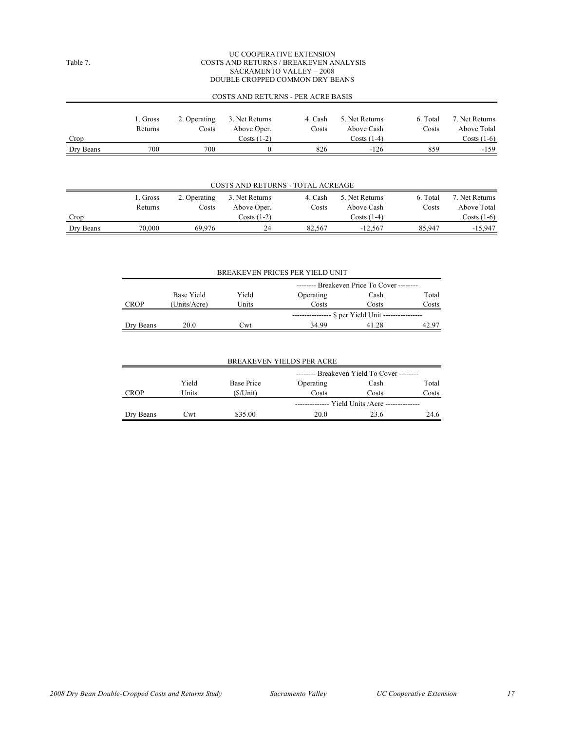#### UC COOPERATIVE EXTENSION Table 7. COSTS AND RETURNS / BREAKEVEN ANALYSIS SACRAMENTO VALLEY – 2008 DOUBLE CROPPED COMMON DRY BEANS

|           | COSTS AND RETURNS - PER ACRE BASIS |              |                |         |                |          |                |  |  |  |  |
|-----------|------------------------------------|--------------|----------------|---------|----------------|----------|----------------|--|--|--|--|
|           |                                    |              |                |         |                |          |                |  |  |  |  |
|           | 1. Gross                           | 2. Operating | 3. Net Returns | 4. Cash | 5. Net Returns | 6. Total | 7. Net Returns |  |  |  |  |
|           | Returns                            | Costs        | Above Oper.    | Costs   | Above Cash     | Costs    | Above Total    |  |  |  |  |
| Crop      |                                    |              | Costs $(1-2)$  |         | Costs $(1-4)$  |          | Costs $(1-6)$  |  |  |  |  |
| Dry Beans | 700                                | 700          |                | 826     | $-126$         | 859      | $-159$         |  |  |  |  |

| COSTS AND RETURNS - TOTAL ACREAGE |          |              |                |         |                |          |                |  |  |  |
|-----------------------------------|----------|--------------|----------------|---------|----------------|----------|----------------|--|--|--|
|                                   | 1. Gross | 2. Operating | 3. Net Returns | 4. Cash | 5. Net Returns | 6. Total | 7. Net Returns |  |  |  |
|                                   | Returns  | Costs        | Above Oper.    | Costs   | Above Cash     | Costs    | Above Total    |  |  |  |
| Crop                              |          |              | $Costs(1-2)$   |         | Costs (1-4)    |          | Costs $(1-6)$  |  |  |  |
| Dry Beans                         | 70.000   | 69.976       | 24             | 82.567  | $-12.567$      | 85.947   | $-15.947$      |  |  |  |

| BREAKEVEN PRICES PER YIELD UNIT |              |       |                                            |       |       |  |  |  |  |
|---------------------------------|--------------|-------|--------------------------------------------|-------|-------|--|--|--|--|
|                                 |              |       | -------- Breakeven Price To Cover -------- |       |       |  |  |  |  |
|                                 | Base Yield   | Yield | Operating                                  | Cash  | Total |  |  |  |  |
| <b>CROP</b>                     | (Units/Acre) | Units | Costs                                      | Costs | Costs |  |  |  |  |
|                                 |              |       | - \$ per Yield Unit ----                   |       |       |  |  |  |  |
| Dry Beans                       | 20.0         | Cwt   | 34.99                                      | 41 28 | 42.97 |  |  |  |  |

| <b>BREAKEVEN YIELDS PER ACRE</b> |       |             |                                                 |       |       |  |  |  |  |
|----------------------------------|-------|-------------|-------------------------------------------------|-------|-------|--|--|--|--|
|                                  |       |             | -------- Breakeven Yield To Cover --------      |       |       |  |  |  |  |
|                                  | Yield | Base Price  | Operating                                       | Cash  | Total |  |  |  |  |
| <b>CROP</b>                      | Units | $(S/U$ nit) | Costs                                           | Costs | Costs |  |  |  |  |
|                                  |       |             | ------------- Yield Units / Acre -------------- |       |       |  |  |  |  |
| Dry Beans                        | Cwt   | \$35.00     | 20.0                                            | 23.6  | 24.6  |  |  |  |  |